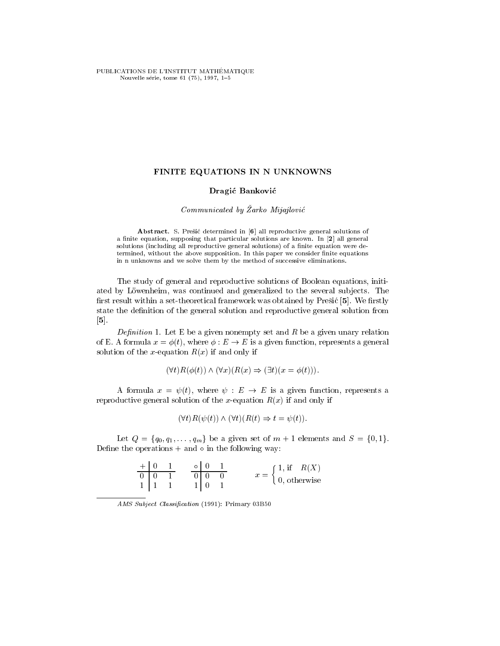PUBLICATIONS DE L'INSTITUT MATHÉMATIQUE Nouvelle série, tome 61 (75), 1997, 1-5

## FINITE EQUATIONS IN N UNKNOWNS

## Dragic Bankovic

#### Communicated by Zarko Mijajlovic

Abstract. S. Prešić determined in [6] all reproductive general solutions of a finite equation, supposing that particular solutions are known. In [2] all general solutions (including all reproductive general solutions) of a finite equation were determined, without the above supposition. In this paper we consider finite equations in n unknowns and we solve them by the method of successive eliminations.

The study of general and reproductive solutions of Boolean equations, initiated by Löwenheim, was continued and generalized to the several subjects. The first result within a set-theoretical framework was obtained by Prešić [5]. We firstly state the definition of the general solution and reproductive general solution from [5].

 $\mathcal{L}$  . Let  $\mathcal{L}$  be a given non-monophy set and R be a given under production  $\mathcal{L}$ of E. A formula  $x = \phi(t)$ , where  $\phi : E \to E$  is a given function, represents a general solution of the x-equation  $R(x)$  if and only if

$$
(\forall t) R(\phi(t)) \wedge (\forall x) (R(x) \Rightarrow (\exists t) (x = \phi(t))).
$$

A formula  $x = \psi(t)$ , where  $\psi : E \to E$  is a given function, represents a reproductive general solution of the x-equation  $R(x)$  if and only if

$$
(\forall t)R(\psi(t)) \land (\forall t)(R(t) \Rightarrow t = \psi(t)).
$$

Let  $Q = \{q_0, q_1, \ldots, q_m\}$  be a given set of  $m + 1$  elements and  $S = \{0, 1\}.$ Define the operations  $+$  and  $\circ$  in the following way:

| ⊥ ⊥ ∩          |  |  | (1, if<br>R(X)                      |
|----------------|--|--|-------------------------------------|
| $\overline{0}$ |  |  | $\left[0, \text{ otherwise}\right]$ |
|                |  |  |                                     |

AMS Subject Classification (1991): Primary 03B50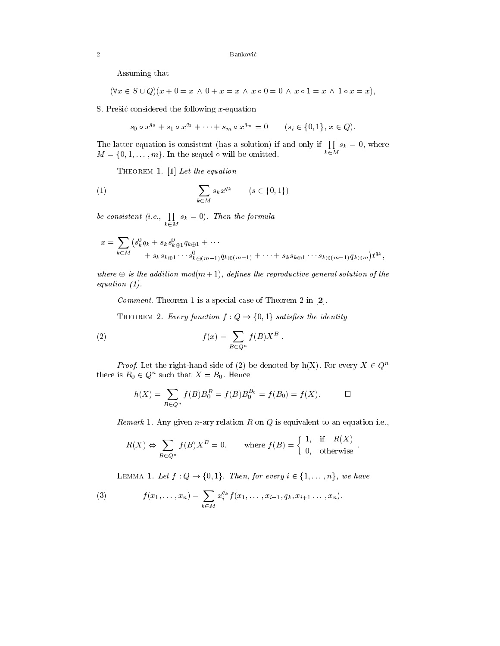Assuming that

 $(\forall x \in S \cup Q)(x + 0 = x \land 0 + x = x \land x \circ 0 = 0 \land x \circ 1 = x \land 1 \circ x = x),$ 

S. Presic considered the following  $x$ -equation

 $s_0 \circ x^{q_0} + s_1 \circ x^{q_1} + \cdots + s_m \circ x^{q_m} = 0 \qquad (s_i \in \{0,1\}, x \in Q).$ 

The latter equation is consistent (has a solution) if and only if  $\prod s_k = 0$ , where k2M and the state of the state of the state of the state of the state of the state of the state of the state o sk = 0, where  $M = \{0, 1, \ldots, m\}$ . In the sequel  $\circ$  will be omitted.

THEOREM 1. [1] Let the equation

$$
\sum_{k \in M} s_k x^{q_k} \qquad (s \in \{0, 1\})
$$

be consistent (i.e.,  $\prod s_k = 0$ ). Then ka kacamatan ing Kabupatèn Kabupatèn Kabupatèn Kabupatèn Kabupatèn Kabupatèn Kabupatèn Kabupatèn Kabupatèn Ka  $s_k = 0$ ). Then the formula

$$
x = \sum_{k \in M} (s_k^0 q_k + s_k s_{k \oplus 1}^0 q_{k \oplus 1} + \cdots + s_k s_{k \oplus 1} \cdots s_{k \oplus (m-1)}^0 q_{k \oplus (m-1)} + \cdots + s_k s_{k \oplus 1} \cdots s_{k \oplus (m-1)}^0 q_{k \oplus m}) t^{q_k},
$$

where  $\oplus$  is the addition mod(m+1), defines the reproductive general solution of the equation (1).

Commont. Theorem 1 is a special case of Theorem 2 in  $\mathbb{Z}$ .

THEOREM 2. Every function  $f: Q \to \{0, 1\}$  satisfies the identity

(2) 
$$
f(x) = \sum_{B \in Q^n} f(B)X^B.
$$

*Proof.* Let the right-hand side of (2) be denoted by h(X). For every  $X \in Q^n$ there is  $B_0 \in Q^n$  such that  $X = B_0$ . Hence

$$
h(X) = \sum_{B \in Q^n} f(B)B_0^B = f(B)B_0^{B_0} = f(B_0) = f(X). \qquad \Box
$$

Remark 1. Any given n-ary relation <sup>R</sup> on <sup>Q</sup> is equivalent to an equation i.e.,

$$
R(X) \Leftrightarrow \sum_{B \in Q^n} f(B)X^B = 0, \quad \text{where } f(B) = \begin{cases} 1, & \text{if } R(X) \\ 0, & \text{otherwise} \end{cases}.
$$

LEMMA 1. Let  $f: Q \rightarrow \{0, 1\}$ . Then, for every  $i \in \{1, \ldots, n\}$ , we have

(3) 
$$
f(x_1,\ldots,x_n) = \sum_{k\in M} x_i^{q_k} f(x_1,\ldots,x_{i-1},q_k,x_{i+1}\ldots,x_n).
$$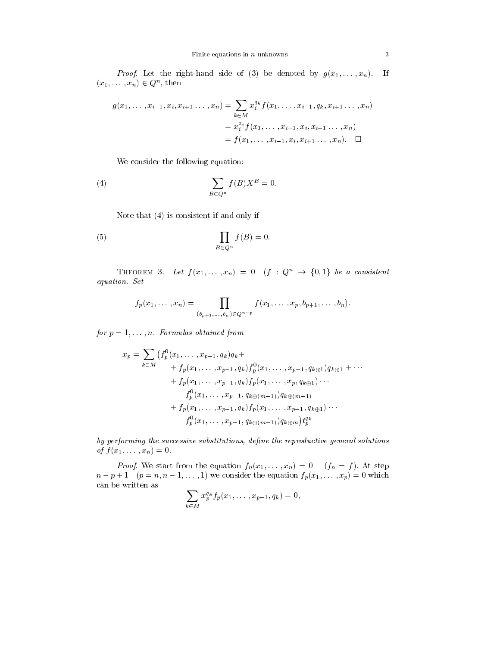Froof. Let the right-hand side of (3) be denoted by  $g(x_1,\ldots,x_n)$ . If  $(x_1, \ldots, x_n) \in Q^n$ , then

$$
g(x_1, \ldots, x_{i-1}, x_i, x_{i+1} \ldots, x_n) = \sum_{k \in M} x_i^{q_k} f(x_1, \ldots, x_{i-1}, q_k, x_{i+1} \ldots, x_n)
$$
  
= 
$$
x_i^{x_i} f(x_1, \ldots, x_{i-1}, x_i, x_{i+1} \ldots, x_n)
$$
  
= 
$$
f(x_1, \ldots, x_{i-1}, x_i, x_{i+1} \ldots, x_n).
$$

We consider the following equation:

(4) 
$$
\sum_{B \in Q^n} f(B)X^B = 0.
$$

Note that (4) is consistent if and only if

(5) 
$$
\prod_{B \in Q^n} f(B) = 0.
$$

THEOREM 3. Let  $f(x_1, \ldots, x_n) = 0$   $(f : Q^n \rightarrow \{0,1\}$  be a consistent equation is a set of the set of the set of the set of the set of the set of the set of the set of the set of t

$$
f_p(x_1,\ldots,x_n)=\prod_{(b_{p+1},\ldots,b_n)\in Q^{n-p}}f(x_1,\ldots,x_p,b_{p+1},\ldots,b_n).
$$

for  $p = 1, \ldots, n$ . Formalias obtained from

$$
x_p = \sum_{k \in M} \left( f_p^0(x_1, \dots, x_{p-1}, q_k) q_k + \right. \\ \left. + f_p(x_1, \dots, x_{p-1}, q_k) f_p^0(x_1, \dots, x_{p-1}, q_{k \oplus 1}) q_{k \oplus 1} + \dots \right. \\ \left. + f_p(x_1, \dots, x_{p-1}, q_k) f_p(x_1, \dots, x_p, q_{k \oplus 1}) \dots \right. \\ \left. f_p^0(x_1, \dots, x_{p-1}, q_{k \oplus (m-1)}) q_{k \oplus (m-1)} \right. \\ \left. + f_p(x_1, \dots, x_{p-1}, q_k) f_p(x_1, \dots, x_{p-1}, q_{k \oplus 1}) \dots \right. \\ \left. f_p^0(x_1, \dots, x_{p-1}, q_{k \oplus (m-1)}) q_{k \oplus m} \right) t_p^{q_k}
$$

by performing the successive substitutions, define the reproductive general solutions  $\mathcal{O}_f$   $f(x_1, \ldots, x_n)=0.$ 

Froof. We start from the equation  $f_n(x_1,\ldots,x_n) = 0$  (fn  $f_n(x_1,\ldots,x_n)$ ). At step  $n - p + 1$  ( $p = n, n - 1, \ldots, 1$ ) we consider the equation  $f_p(x_1, \ldots, x_p) = 0$  which can be written as

$$
\sum_{k \in M} x_p^{q_k} f_p(x_1, \dots, x_{p-1}, q_k) = 0,
$$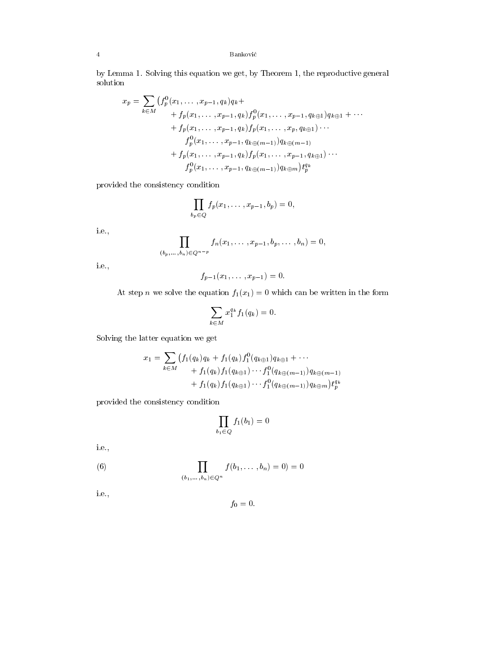# 4 Bankovic

by Lemma 1. Solving this equation we get, by Theorem 1, the reproductive general solution

$$
x_p = \sum_{k \in M} (f_p^0(x_1, \dots, x_{p-1}, q_k)q_k +
$$
  
+  $f_p(x_1, \dots, x_{p-1}, q_k)f_p^0(x_1, \dots, x_{p-1}, q_{k \oplus 1})q_{k \oplus 1} + \dots$   
+  $f_p(x_1, \dots, x_{p-1}, q_k)f_p(x_1, \dots, x_p, q_{k \oplus 1})\dots$   
 $f_p^0(x_1, \dots, x_{p-1}, q_{k \oplus (m-1)})q_{k \oplus (m-1)}$   
+  $f_p(x_1, \dots, x_{p-1}, q_k)f_p(x_1, \dots, x_{p-1}, q_{k \oplus 1})\dots$   
 $f_p^0(x_1, \dots, x_{p-1}, q_{k \oplus (m-1)})q_{k \oplus m})t_p^{q_k}$ 

provided the consistency condition

$$
\prod_{b_p\in Q} f_p(x_1,\ldots,x_{p-1},b_p)=0,
$$

i.e.,

$$
\prod_{(b_p,\ldots,b_n)\in Q^{n-p}} f_n(x_1,\ldots,x_{p-1},b_p,\ldots,b_n) = 0,
$$

i.e.,

$$
f_{p-1}(x_1,\ldots,x_{p-1})=0.
$$

At step *n* we solve the equation  $f_1(x_1) = 0$  which can be written in the form

$$
\sum_{k \in M} x_1^{q_k} f_1(q_k) = 0.
$$

Solving the latter equation we get

$$
x_1 = \sum_{k \in M} \left( f_1(q_k)q_k + f_1(q_k)f_1^0(q_{k \oplus 1})q_{k \oplus 1} + \cdots + f_1(q_k)f_1(q_{k \oplus 1}) \cdots f_1^0(q_{k \oplus (m-1)})q_{k \oplus (m-1)} + f_1(q_k)f_1(q_{k \oplus 1}) \cdots f_1^0(q_{k \oplus (m-1)})q_{k \oplus m}\right) t_p^{q_k}
$$

provided the consistency condition

$$
\prod_{b_1 \in Q} f_1(b_1) = 0
$$

i.e.,

(6) 
$$
\prod_{(b_1,...,b_n)\in Q^n} f(b_1,...,b_n) = 0 = 0
$$

i.e.,

$$
f_0=0.
$$